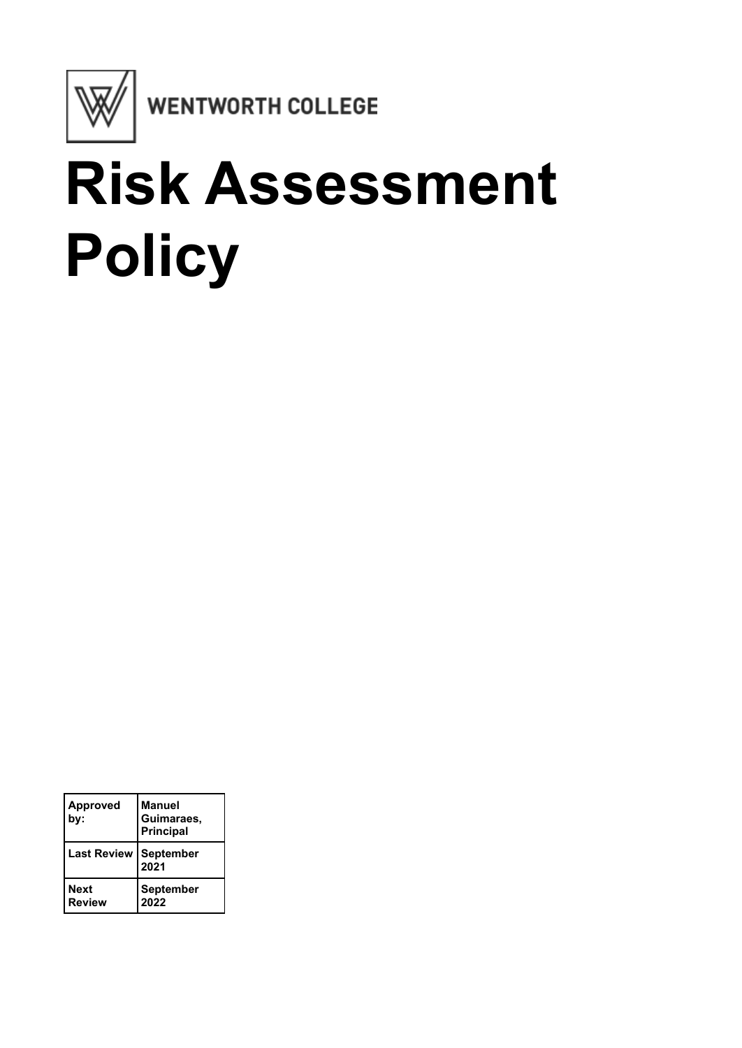

# **Risk Assessment Policy**

| <b>Approved</b><br>by:         | <b>Manuel</b><br>Guimaraes,<br><b>Principal</b> |
|--------------------------------|-------------------------------------------------|
| <b>Last Review   September</b> | 2021                                            |
| <b>Next</b><br><b>Review</b>   | September<br>2022                               |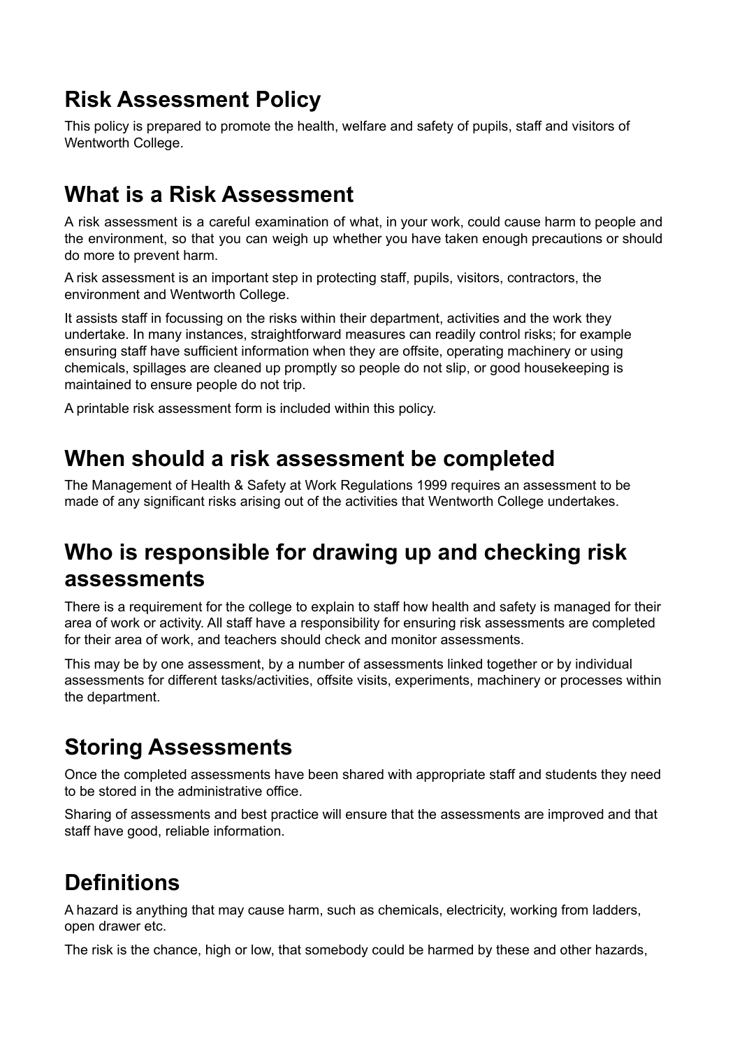## **Risk Assessment Policy**

This policy is prepared to promote the health, welfare and safety of pupils, staff and visitors of Wentworth College.

## **What is a Risk Assessment**

A risk assessment is a careful examination of what, in your work, could cause harm to people and the environment, so that you can weigh up whether you have taken enough precautions or should do more to prevent harm.

A risk assessment is an important step in protecting staff, pupils, visitors, contractors, the environment and Wentworth College.

It assists staff in focussing on the risks within their department, activities and the work they undertake. In many instances, straightforward measures can readily control risks; for example ensuring staff have sufficient information when they are offsite, operating machinery or using chemicals, spillages are cleaned up promptly so people do not slip, or good housekeeping is maintained to ensure people do not trip.

A printable risk assessment form is included within this policy.

## **When should a risk assessment be completed**

The Management of Health & Safety at Work Regulations 1999 requires an assessment to be made of any significant risks arising out of the activities that Wentworth College undertakes.

## **Who is responsible for drawing up and checking risk assessments**

There is a requirement for the college to explain to staff how health and safety is managed for their area of work or activity. All staff have a responsibility for ensuring risk assessments are completed for their area of work, and teachers should check and monitor assessments.

This may be by one assessment, by a number of assessments linked together or by individual assessments for different tasks/activities, offsite visits, experiments, machinery or processes within the department.

## **Storing Assessments**

Once the completed assessments have been shared with appropriate staff and students they need to be stored in the administrative office.

Sharing of assessments and best practice will ensure that the assessments are improved and that staff have good, reliable information.

## **Definitions**

A hazard is anything that may cause harm, such as chemicals, electricity, working from ladders, open drawer etc.

The risk is the chance, high or low, that somebody could be harmed by these and other hazards,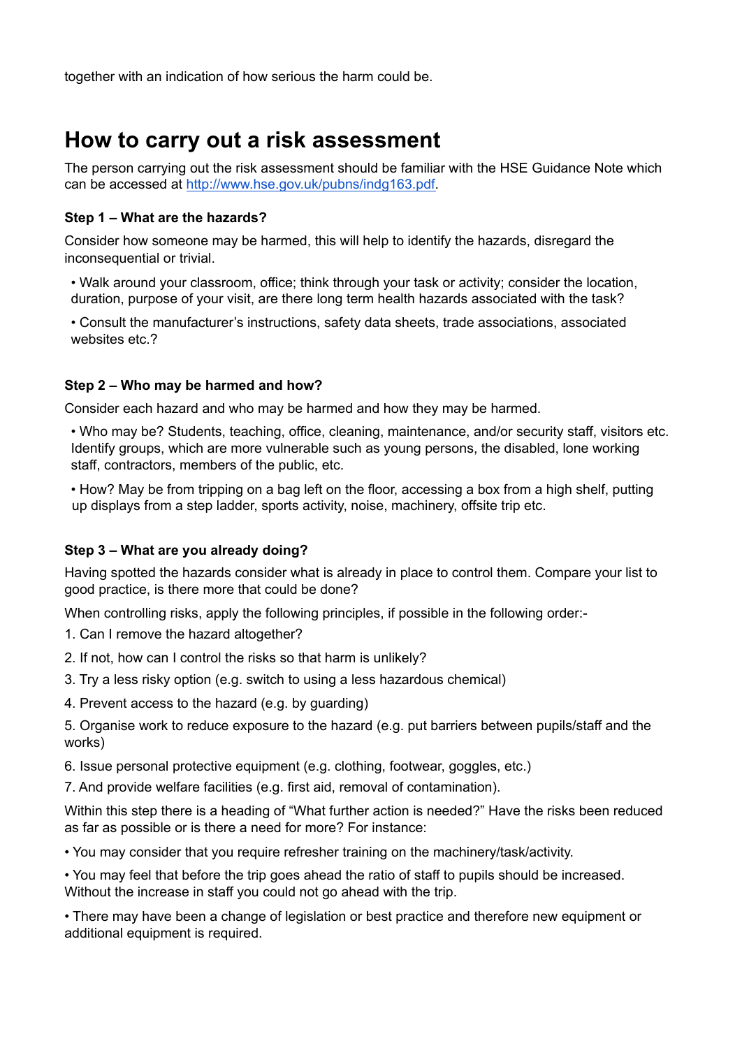together with an indication of how serious the harm could be.

### **How to carry out a risk assessment**

The person carrying out the risk assessment should be familiar with the HSE Guidance Note which can be accessed at http://www.hse.gov.uk/pubns/indg163.pdf.

#### **Step 1 – What are the hazards?**

Consider how someone may be harmed, this will help to identify the hazards, disregard the inconsequential or trivial.

• Walk around your classroom, office; think through your task or activity; consider the location, duration, purpose of your visit, are there long term health hazards associated with the task?

• Consult the manufacturer's instructions, safety data sheets, trade associations, associated websites etc.?

#### **Step 2 – Who may be harmed and how?**

Consider each hazard and who may be harmed and how they may be harmed.

• Who may be? Students, teaching, office, cleaning, maintenance, and/or security staff, visitors etc. Identify groups, which are more vulnerable such as young persons, the disabled, lone working staff, contractors, members of the public, etc.

• How? May be from tripping on a bag left on the floor, accessing a box from a high shelf, putting up displays from a step ladder, sports activity, noise, machinery, offsite trip etc.

#### **Step 3 – What are you already doing?**

Having spotted the hazards consider what is already in place to control them. Compare your list to good practice, is there more that could be done?

When controlling risks, apply the following principles, if possible in the following order:-

- 1. Can I remove the hazard altogether?
- 2. If not, how can I control the risks so that harm is unlikely?
- 3. Try a less risky option (e.g. switch to using a less hazardous chemical)
- 4. Prevent access to the hazard (e.g. by guarding)

5. Organise work to reduce exposure to the hazard (e.g. put barriers between pupils/staff and the works)

6. Issue personal protective equipment (e.g. clothing, footwear, goggles, etc.)

7. And provide welfare facilities (e.g. first aid, removal of contamination).

Within this step there is a heading of "What further action is needed?" Have the risks been reduced as far as possible or is there a need for more? For instance:

• You may consider that you require refresher training on the machinery/task/activity.

• You may feel that before the trip goes ahead the ratio of staff to pupils should be increased. Without the increase in staff you could not go ahead with the trip.

• There may have been a change of legislation or best practice and therefore new equipment or additional equipment is required.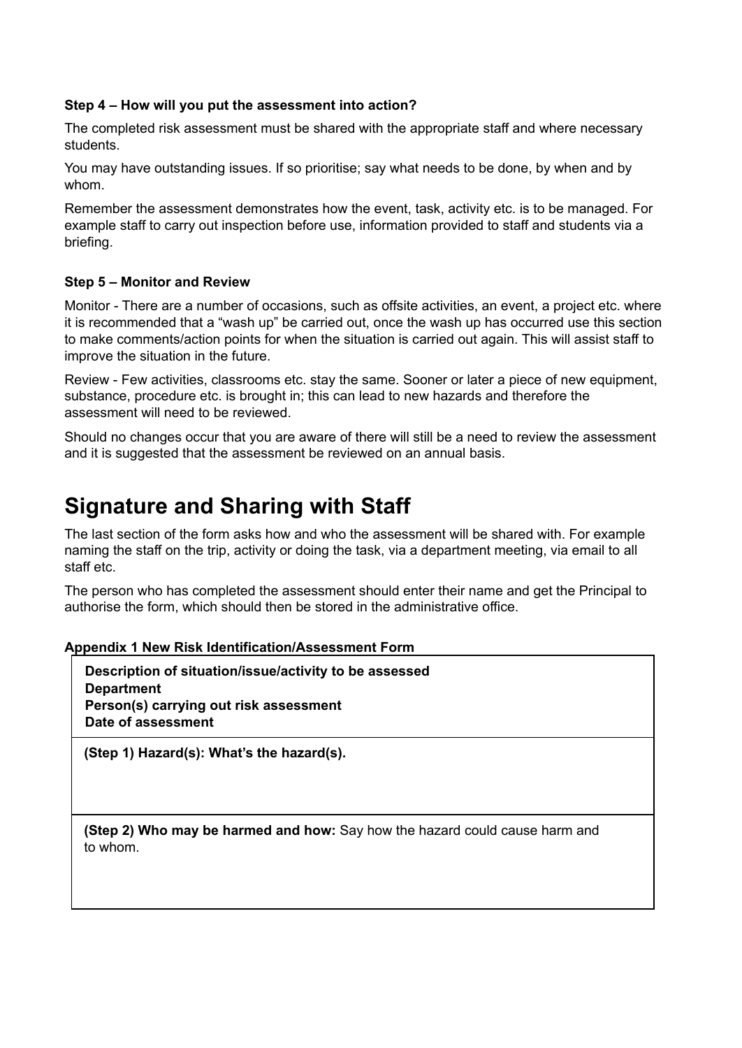#### **Step 4 – How will you put the assessment into action?**

The completed risk assessment must be shared with the appropriate staff and where necessary students.

You may have outstanding issues. If so prioritise; say what needs to be done, by when and by whom.

Remember the assessment demonstrates how the event, task, activity etc. is to be managed. For example staff to carry out inspection before use, information provided to staff and students via a briefing.

#### **Step 5 – Monitor and Review**

Monitor - There are a number of occasions, such as offsite activities, an event, a project etc. where it is recommended that a "wash up" be carried out, once the wash up has occurred use this section to make comments/action points for when the situation is carried out again. This will assist staff to improve the situation in the future.

Review - Few activities, classrooms etc. stay the same. Sooner or later a piece of new equipment, substance, procedure etc. is brought in; this can lead to new hazards and therefore the assessment will need to be reviewed.

Should no changes occur that you are aware of there will still be a need to review the assessment and it is suggested that the assessment be reviewed on an annual basis.

## **Signature and Sharing with Staff**

The last section of the form asks how and who the assessment will be shared with. For example naming the staff on the trip, activity or doing the task, via a department meeting, via email to all staff etc.

The person who has completed the assessment should enter their name and get the Principal to authorise the form, which should then be stored in the administrative office.

**Appendix 1 New Risk Identification/Assessment Form**

**Description of situation/issue/activity to be assessed Department Person(s) carrying out risk assessment Date of assessment**

**(Step 1) Hazard(s): What's the hazard(s).**

**(Step 2) Who may be harmed and how:** Say how the hazard could cause harm and to whom.